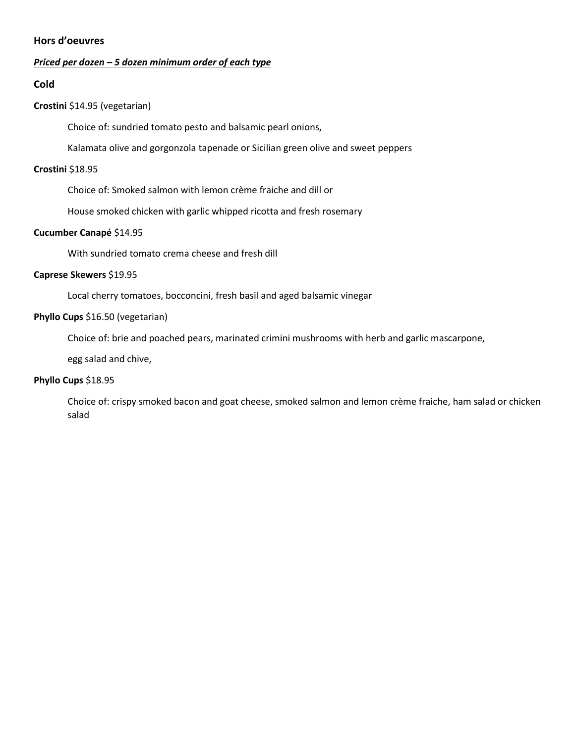# **Hors d'oeuvres**

#### *Priced per dozen – 5 dozen minimum order of each type*

#### **Cold**

### **Crostini** \$14.95 (vegetarian)

Choice of: sundried tomato pesto and balsamic pearl onions,

Kalamata olive and gorgonzola tapenade or Sicilian green olive and sweet peppers

#### **Crostini** \$18.95

Choice of: Smoked salmon with lemon crème fraiche and dill or

House smoked chicken with garlic whipped ricotta and fresh rosemary

#### **Cucumber Canapé** \$14.95

With sundried tomato crema cheese and fresh dill

### **Caprese Skewers** \$19.95

Local cherry tomatoes, bocconcini, fresh basil and aged balsamic vinegar

#### **Phyllo Cups** \$16.50 (vegetarian)

Choice of: brie and poached pears, marinated crimini mushrooms with herb and garlic mascarpone,

egg salad and chive,

# **Phyllo Cups** \$18.95

Choice of: crispy smoked bacon and goat cheese, smoked salmon and lemon crème fraiche, ham salad or chicken salad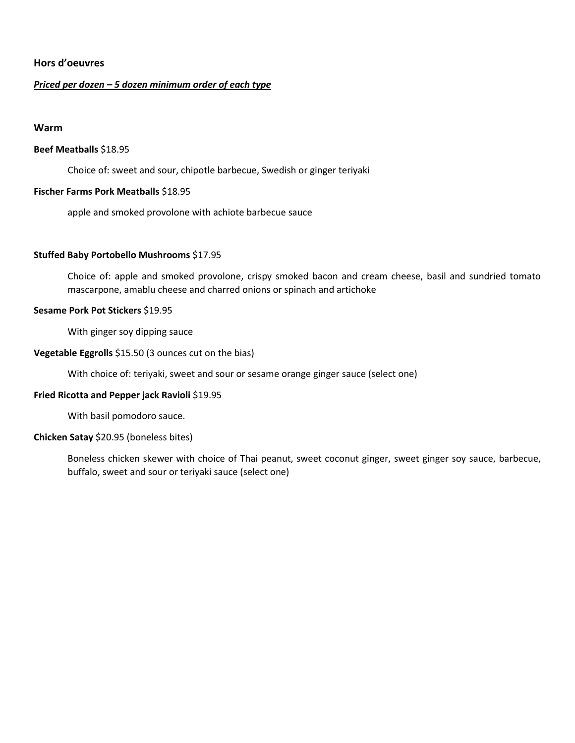# **Hors d'oeuvres**

#### *Priced per dozen – 5 dozen minimum order of each type*

#### **Warm**

#### **Beef Meatballs** \$18.95

Choice of: sweet and sour, chipotle barbecue, Swedish or ginger teriyaki

#### **Fischer Farms Pork Meatballs** \$18.95

apple and smoked provolone with achiote barbecue sauce

#### **Stuffed Baby Portobello Mushrooms** \$17.95

Choice of: apple and smoked provolone, crispy smoked bacon and cream cheese, basil and sundried tomato mascarpone, amablu cheese and charred onions or spinach and artichoke

### **Sesame Pork Pot Stickers** \$19.95

With ginger soy dipping sauce

#### **Vegetable Eggrolls** \$15.50 (3 ounces cut on the bias)

With choice of: teriyaki, sweet and sour or sesame orange ginger sauce (select one)

#### **Fried Ricotta and Pepper jack Ravioli** \$19.95

With basil pomodoro sauce.

#### **Chicken Satay** \$20.95 (boneless bites)

Boneless chicken skewer with choice of Thai peanut, sweet coconut ginger, sweet ginger soy sauce, barbecue, buffalo, sweet and sour or teriyaki sauce (select one)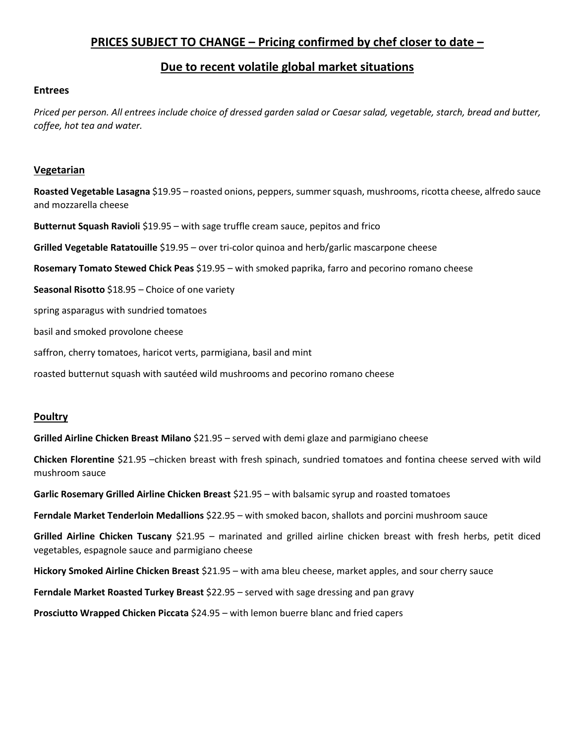# **PRICES SUBJECT TO CHANGE – Pricing confirmed by chef closer to date –**

# **Due to recent volatile global market situations**

### **Entrees**

*Priced per person. All entrees include choice of dressed garden salad or Caesar salad, vegetable, starch, bread and butter, coffee, hot tea and water.*

### **Vegetarian**

**Roasted Vegetable Lasagna** \$19.95 – roasted onions, peppers, summer squash, mushrooms, ricotta cheese, alfredo sauce and mozzarella cheese

**Butternut Squash Ravioli** \$19.95 – with sage truffle cream sauce, pepitos and frico

**Grilled Vegetable Ratatouille** \$19.95 – over tri-color quinoa and herb/garlic mascarpone cheese

**Rosemary Tomato Stewed Chick Peas** \$19.95 – with smoked paprika, farro and pecorino romano cheese

**Seasonal Risotto** \$18.95 – Choice of one variety

spring asparagus with sundried tomatoes

basil and smoked provolone cheese

saffron, cherry tomatoes, haricot verts, parmigiana, basil and mint

roasted butternut squash with sautéed wild mushrooms and pecorino romano cheese

# **Poultry**

**Grilled Airline Chicken Breast Milano** \$21.95 – served with demi glaze and parmigiano cheese

**Chicken Florentine** \$21.95 –chicken breast with fresh spinach, sundried tomatoes and fontina cheese served with wild mushroom sauce

**Garlic Rosemary Grilled Airline Chicken Breast** \$21.95 – with balsamic syrup and roasted tomatoes

Ferndale Market Tenderloin Medallions \$22.95 - with smoked bacon, shallots and porcini mushroom sauce

**Grilled Airline Chicken Tuscany** \$21.95 – marinated and grilled airline chicken breast with fresh herbs, petit diced vegetables, espagnole sauce and parmigiano cheese

**Hickory Smoked Airline Chicken Breast** \$21.95 – with ama bleu cheese, market apples, and sour cherry sauce

**Ferndale Market Roasted Turkey Breast** \$22.95 – served with sage dressing and pan gravy

**Prosciutto Wrapped Chicken Piccata** \$24.95 – with lemon buerre blanc and fried capers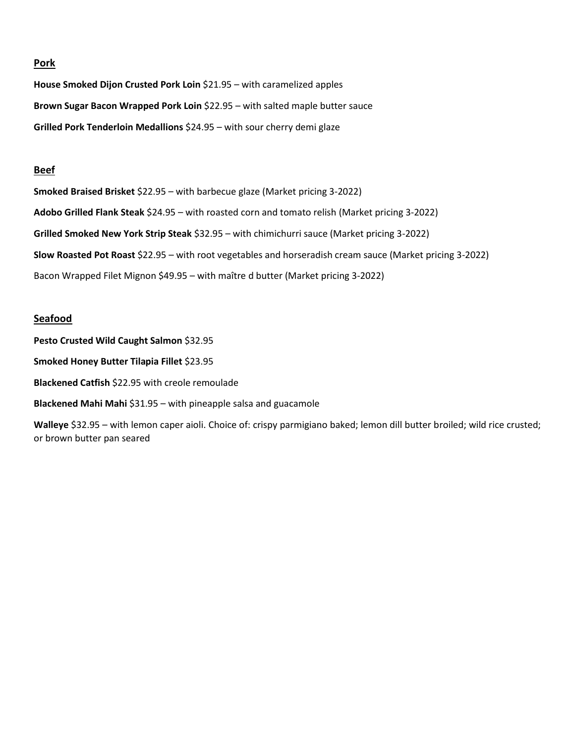#### **Pork**

**House Smoked Dijon Crusted Pork Loin** \$21.95 – with caramelized apples **Brown Sugar Bacon Wrapped Pork Loin** \$22.95 – with salted maple butter sauce **Grilled Pork Tenderloin Medallions** \$24.95 – with sour cherry demi glaze

#### **Beef**

**Smoked Braised Brisket** \$22.95 – with barbecue glaze (Market pricing 3-2022) **Adobo Grilled Flank Steak** \$24.95 – with roasted corn and tomato relish (Market pricing 3-2022) **Grilled Smoked New York Strip Steak** \$32.95 – with chimichurri sauce (Market pricing 3-2022) **Slow Roasted Pot Roast** \$22.95 – with root vegetables and horseradish cream sauce (Market pricing 3-2022) Bacon Wrapped Filet Mignon \$49.95 – with maître d butter (Market pricing 3-2022)

#### **Seafood**

**Pesto Crusted Wild Caught Salmon** \$32.95

**Smoked Honey Butter Tilapia Fillet** \$23.95

**Blackened Catfish** \$22.95 with creole remoulade

**Blackened Mahi Mahi** \$31.95 – with pineapple salsa and guacamole

**Walleye** \$32.95 – with lemon caper aioli. Choice of: crispy parmigiano baked; lemon dill butter broiled; wild rice crusted; or brown butter pan seared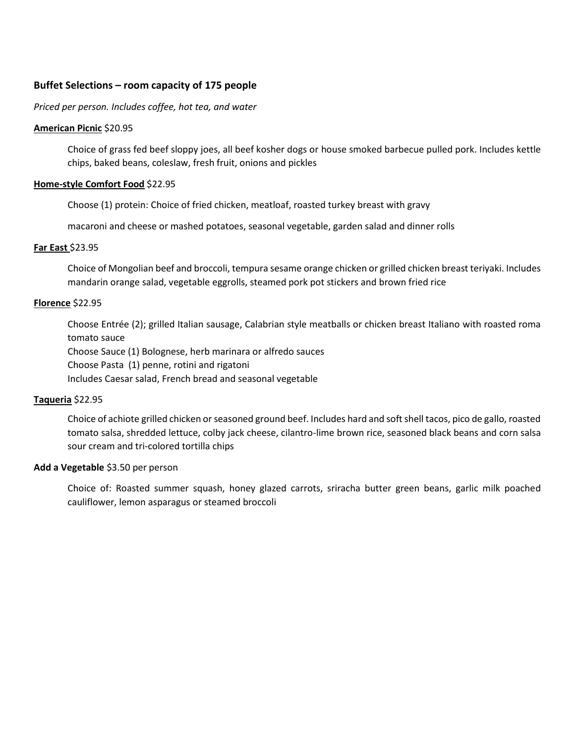# **Buffet Selections – room capacity of 175 people**

#### *Priced per person. Includes coffee, hot tea, and water*

#### **American Picnic** \$20.95

Choice of grass fed beef sloppy joes, all beef kosher dogs or house smoked barbecue pulled pork. Includes kettle chips, baked beans, coleslaw, fresh fruit, onions and pickles

#### **Home-style Comfort Food** \$22.95

Choose (1) protein: Choice of fried chicken, meatloaf, roasted turkey breast with gravy

macaroni and cheese or mashed potatoes, seasonal vegetable, garden salad and dinner rolls

#### **Far East** \$23.95

Choice of Mongolian beef and broccoli, tempura sesame orange chicken or grilled chicken breast teriyaki. Includes mandarin orange salad, vegetable eggrolls, steamed pork pot stickers and brown fried rice

#### **Florence** \$22.95

Choose Entrée (2); grilled Italian sausage, Calabrian style meatballs or chicken breast Italiano with roasted roma tomato sauce

Choose Sauce (1) Bolognese, herb marinara or alfredo sauces

Choose Pasta (1) penne, rotini and rigatoni

Includes Caesar salad, French bread and seasonal vegetable

#### **Taqueria** \$22.95

Choice of achiote grilled chicken or seasoned ground beef. Includes hard and soft shell tacos, pico de gallo, roasted tomato salsa, shredded lettuce, colby jack cheese, cilantro-lime brown rice, seasoned black beans and corn salsa sour cream and tri-colored tortilla chips

#### **Add a Vegetable** \$3.50 per person

Choice of: Roasted summer squash, honey glazed carrots, sriracha butter green beans, garlic milk poached cauliflower, lemon asparagus or steamed broccoli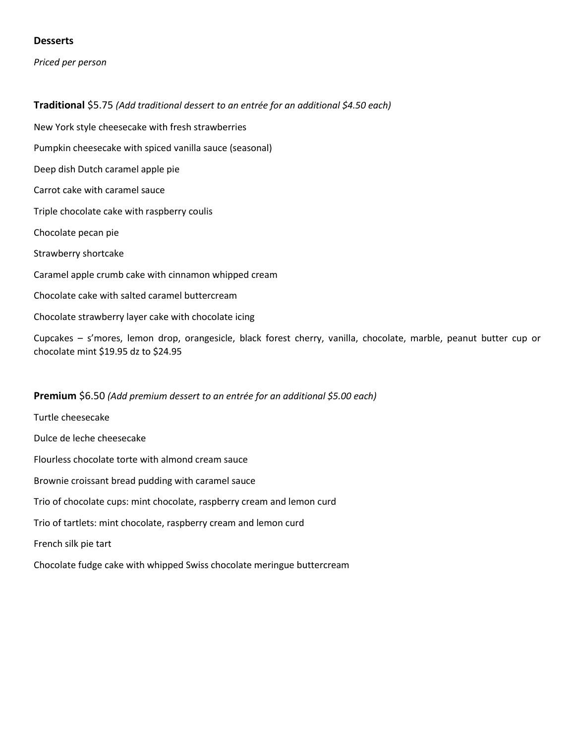# **Desserts**

*Priced per person*

**Traditional** \$5.75 *(Add traditional dessert to an entrée for an additional \$4.50 each)* New York style cheesecake with fresh strawberries Pumpkin cheesecake with spiced vanilla sauce (seasonal) Deep dish Dutch caramel apple pie Carrot cake with caramel sauce Triple chocolate cake with raspberry coulis Chocolate pecan pie Strawberry shortcake Caramel apple crumb cake with cinnamon whipped cream Chocolate cake with salted caramel buttercream

Chocolate strawberry layer cake with chocolate icing

Cupcakes – s'mores, lemon drop, orangesicle, black forest cherry, vanilla, chocolate, marble, peanut butter cup or chocolate mint \$19.95 dz to \$24.95

#### **Premium** \$6.50 *(Add premium dessert to an entrée for an additional \$5.00 each)*

Turtle cheesecake Dulce de leche cheesecake Flourless chocolate torte with almond cream sauce Brownie croissant bread pudding with caramel sauce Trio of chocolate cups: mint chocolate, raspberry cream and lemon curd Trio of tartlets: mint chocolate, raspberry cream and lemon curd French silk pie tart Chocolate fudge cake with whipped Swiss chocolate meringue buttercream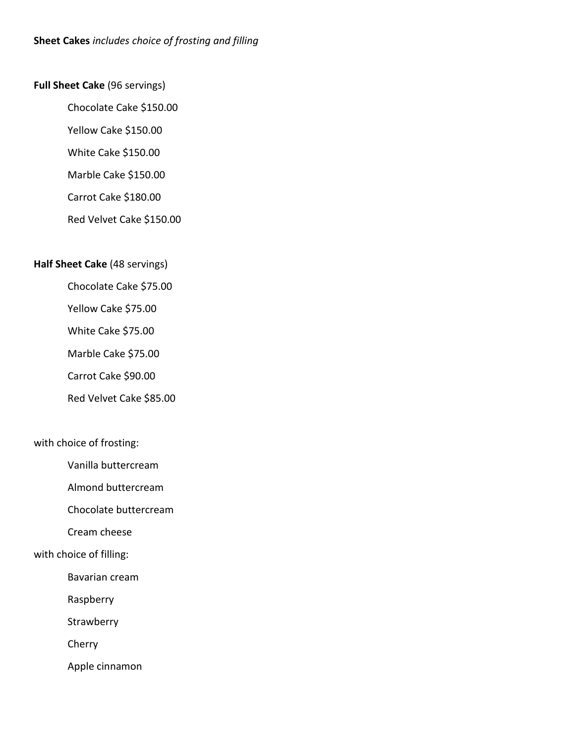# **Full Sheet Cake** (96 servings)

Chocolate Cake \$150.00

Yellow Cake \$150.00

White Cake \$150.00

Marble Cake \$150.00

Carrot Cake \$180.00

Red Velvet Cake \$150.00

# **Half Sheet Cake** (48 servings)

Chocolate Cake \$75.00

Yellow Cake \$75.00

White Cake \$75.00

Marble Cake \$75.00

Carrot Cake \$90.00

Red Velvet Cake \$85.00

# with choice of frosting:

Vanilla buttercream

Almond buttercream

Chocolate buttercream

Cream cheese

# with choice of filling:

Bavarian cream

Raspberry

**Strawberry** 

Cherry

Apple cinnamon